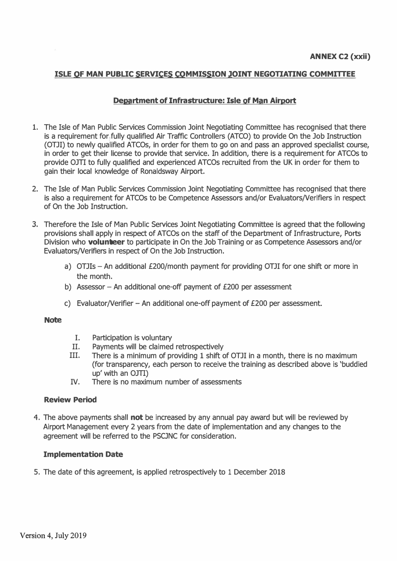## **ISLE OF MAN PUBLIC SERVICES COMMISSION JOINT NEGOTIATING COMMITTEE**

### **Department of Infrastructure: Isle of Man Airport**

- 1. The Isle of Man Public Services Commission Joint Negotiating Committee has recognised that there is a requirement for fully qualified Air Traffic Controllers (ATCO) to provide On the Job Instruction (OTJI) to newly qualified ATCOs, in order for them to go on and pass an approved specialist course, in order to get their license to provide that service. In addition, there is a requirement for ATCOs to provide OJTI to fully qualified and experienced ATCOs recruited from the UK in order for them to gain their local knowledge of Ronaldsway Airport.
- 2. The Isle of Man Public Services Commission Joint Negotiating Committee has recognised that there is also a requirement for ATCOs to be Competence Assessors and/or Evaluators/Verifiers in respect of On the Job Instruction.
- 3. Therefore the Isle of Man Public Services Joint Negotiating Committee is agreed that the following provisions shall apply in respect of ATCOs on the staff of the Department of Infrastructure, Ports Division who **volunteer** to participate in On the Job Training or as Competence Assessors and/or Evaluators/Verifiers in respect of On the Job Instruction.
	- a) OTJIs An additional £200/month payment for providing OTJI for one shift or more in the month.
	- b) Assessor An additional one-off payment of  $E200$  per assessment
	- c) Evaluator/Verifier  $-$  An additional one-off payment of  $E200$  per assessment.

#### **Note**

- I. Participation is voluntary
- II. Payments will be claimed retrospectively<br>III. There is a minimum of providing 1 shift of
- There is a minimum of providing 1 shift of OTJI in a month, there is no maximum (for transparency, each person to receive the training as described above is 'buddied up' with an OJTI)
- IV. There is no maximum number of assessments

### **Review Period**

4. The above payments shall **not** be increased by any annual pay award but will be reviewed by Airport Management every 2 years from the date of implementation and any changes to the agreement will be referred to the PSONC for consideration.

# **Implementation Date**

5. The date of this agreement, is applied retrospectively to 1 December 2018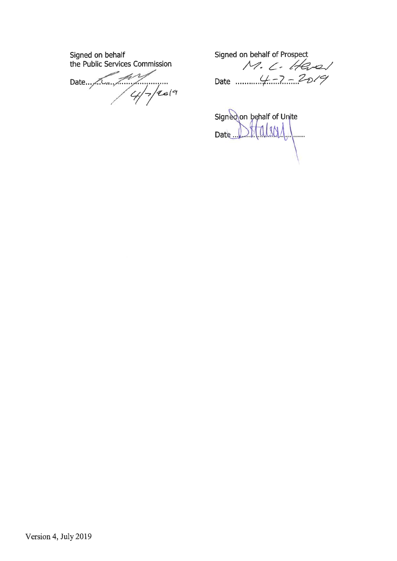Signed on behalf the Public Services Commission

Date  $\frac{1}{\sqrt{4}}$ 

Signed on behalf of Prospect<br>  $\begin{array}{ccc}\n\sqrt{2} & \sqrt{2} & \sqrt{2} & \sqrt{2}\n\end{array}$ Date  $4 - 7 - 2019$ 

Signed on behalf of Unite<br>Date DI (USU)